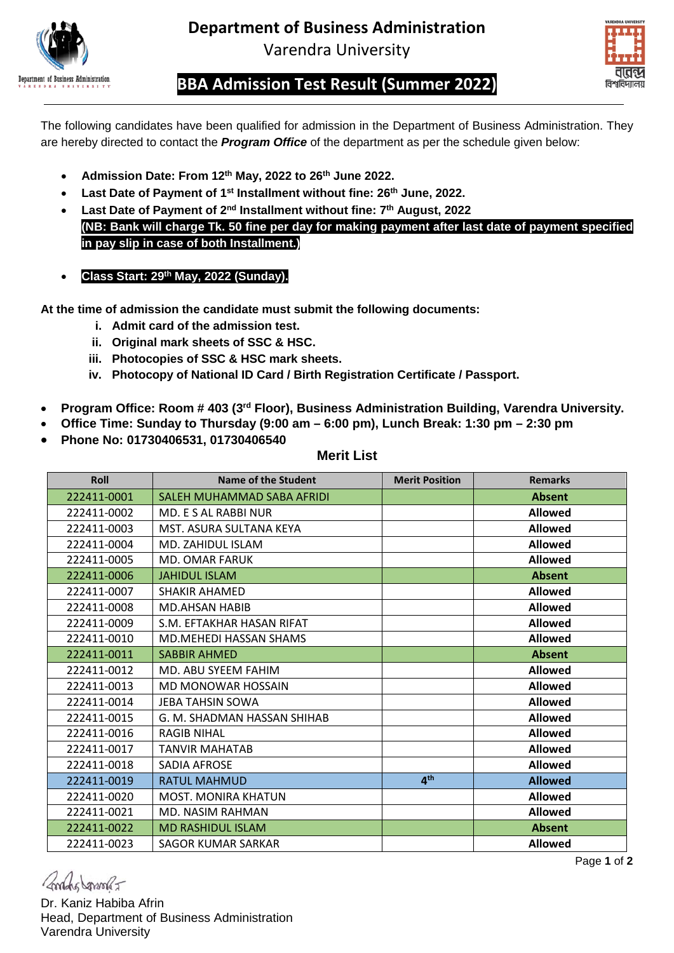

**Department of Business Administration** Varendra University



**BBA Admission Test Result (Summer 2022)**

The following candidates have been qualified for admission in the Department of Business Administration. They are hereby directed to contact the *Program Office* of the department as per the schedule given below:

- **Admission Date: From 12th May, 2022 to 26th June 2022.**
- **Last Date of Payment of 1st Installment without fine: 26th June, 2022.**
- **Last Date of Payment of 2nd Installment without fine: 7th August, 2022 (NB: Bank will charge Tk. 50 fine per day for making payment after last date of payment specified in pay slip in case of both Installment.)**
- **Class Start: 29th May, 2022 (Sunday).**

**At the time of admission the candidate must submit the following documents:**

- **i. Admit card of the admission test.**
- **ii. Original mark sheets of SSC & HSC.**
- **iii. Photocopies of SSC & HSC mark sheets.**
- **iv. Photocopy of National ID Card / Birth Registration Certificate / Passport.**
- **Program Office: Room # 403 (3rd Floor), Business Administration Building, Varendra University.**
- **Office Time: Sunday to Thursday (9:00 am – 6:00 pm), Lunch Break: 1:30 pm – 2:30 pm**
- **Phone No: 01730406531, 01730406540**

| <b>Roll</b> | Name of the Student           | <b>Merit Position</b> | <b>Remarks</b> |
|-------------|-------------------------------|-----------------------|----------------|
| 222411-0001 | SALEH MUHAMMAD SABA AFRIDI    |                       | <b>Absent</b>  |
| 222411-0002 | MD. E S AL RABBI NUR          |                       | <b>Allowed</b> |
| 222411-0003 | MST. ASURA SULTANA KEYA       |                       | <b>Allowed</b> |
| 222411-0004 | MD. ZAHIDUL ISLAM             |                       | <b>Allowed</b> |
| 222411-0005 | <b>MD. OMAR FARUK</b>         |                       | <b>Allowed</b> |
| 222411-0006 | <b>JAHIDUL ISLAM</b>          |                       | <b>Absent</b>  |
| 222411-0007 | <b>SHAKIR AHAMFD</b>          |                       | <b>Allowed</b> |
| 222411-0008 | <b>MD.AHSAN HABIB</b>         |                       | <b>Allowed</b> |
| 222411-0009 | S.M. EFTAKHAR HASAN RIFAT     |                       | <b>Allowed</b> |
| 222411-0010 | <b>MD.MEHEDI HASSAN SHAMS</b> |                       | <b>Allowed</b> |
| 222411-0011 | <b>SABBIR AHMED</b>           |                       | <b>Absent</b>  |
| 222411-0012 | MD. ABU SYEEM FAHIM           |                       | <b>Allowed</b> |
| 222411-0013 | <b>MD MONOWAR HOSSAIN</b>     |                       | <b>Allowed</b> |
| 222411-0014 | <b>JEBA TAHSIN SOWA</b>       |                       | <b>Allowed</b> |
| 222411-0015 | G. M. SHADMAN HASSAN SHIHAB   |                       | <b>Allowed</b> |
| 222411-0016 | <b>RAGIB NIHAL</b>            |                       | <b>Allowed</b> |
| 222411-0017 | <b>TANVIR MAHATAB</b>         |                       | <b>Allowed</b> |
| 222411-0018 | SADIA AFROSE                  |                       | <b>Allowed</b> |
| 222411-0019 | <b>RATUL MAHMUD</b>           | 4 <sup>th</sup>       | <b>Allowed</b> |
| 222411-0020 | <b>MOST. MONIRA KHATUN</b>    |                       | <b>Allowed</b> |
| 222411-0021 | <b>MD. NASIM RAHMAN</b>       |                       | <b>Allowed</b> |
| 222411-0022 | <b>MD RASHIDUL ISLAM</b>      |                       | <b>Absent</b>  |
| 222411-0023 | SAGOR KUMAR SARKAR            |                       | <b>Allowed</b> |

**Merit List**

Andre Janson

Page **1** of **2**

Dr. Kaniz Habiba Afrin Head, Department of Business Administration Varendra University